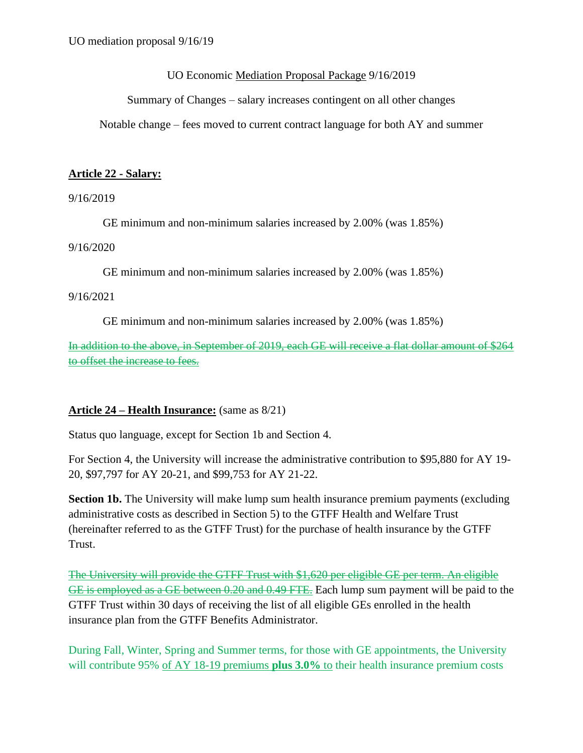UO Economic Mediation Proposal Package 9/16/2019

Summary of Changes – salary increases contingent on all other changes

Notable change – fees moved to current contract language for both AY and summer

#### **Article 22 - Salary:**

9/16/2019

GE minimum and non-minimum salaries increased by 2.00% (was 1.85%)

9/16/2020

GE minimum and non-minimum salaries increased by 2.00% (was 1.85%)

9/16/2021

GE minimum and non-minimum salaries increased by 2.00% (was 1.85%)

In addition to the above, in September of 2019, each GE will receive a flat dollar amount of \$264 to offset the increase to fees.

### **Article 24 – Health Insurance:** (same as 8/21)

Status quo language, except for Section 1b and Section 4.

For Section 4, the University will increase the administrative contribution to \$95,880 for AY 19- 20, \$97,797 for AY 20-21, and \$99,753 for AY 21-22.

**Section 1b.** The University will make lump sum health insurance premium payments (excluding administrative costs as described in Section 5) to the GTFF Health and Welfare Trust (hereinafter referred to as the GTFF Trust) for the purchase of health insurance by the GTFF Trust.

The University will provide the GTFF Trust with \$1,620 per eligible GE per term. An eligible GE is employed as a GE between 0.20 and 0.49 FTE. Each lump sum payment will be paid to the GTFF Trust within 30 days of receiving the list of all eligible GEs enrolled in the health insurance plan from the GTFF Benefits Administrator.

During Fall, Winter, Spring and Summer terms, for those with GE appointments, the University will contribute 95% of AY 18-19 premiums **plus 3.0%** to their health insurance premium costs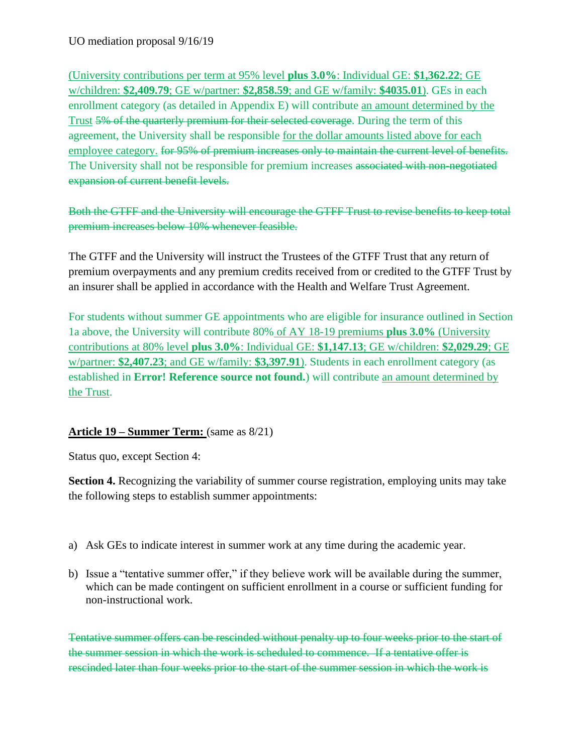(University contributions per term at 95% level **plus 3.0%**: Individual GE: **\$1,362.22**; GE w/children: **\$2,409.79**; GE w/partner: **\$2,858.59**; and GE w/family: **\$4035.01**). GEs in each enrollment category (as detailed in Appendix E) will contribute an amount determined by the Trust 5% of the quarterly premium for their selected coverage. During the term of this agreement, the University shall be responsible for the dollar amounts listed above for each employee category. for 95% of premium increases only to maintain the current level of benefits. The University shall not be responsible for premium increases associated with non-negotiated expansion of current benefit levels.

Both the GTFF and the University will encourage the GTFF Trust to revise benefits to keep total premium increases below 10% whenever feasible.

The GTFF and the University will instruct the Trustees of the GTFF Trust that any return of premium overpayments and any premium credits received from or credited to the GTFF Trust by an insurer shall be applied in accordance with the Health and Welfare Trust Agreement.

For students without summer GE appointments who are eligible for insurance outlined in Section 1a above, the University will contribute 80% of AY 18-19 premiums **plus 3.0%** (University contributions at 80% level **plus 3.0%**: Individual GE: **\$1,147.13**; GE w/children: **\$2,029.29**; GE w/partner: **\$2,407.23**; and GE w/family: **\$3,397.91**). Students in each enrollment category (as established in **Error! Reference source not found.**) will contribute an amount determined by the Trust.

## **Article 19 – Summer Term:** (same as 8/21)

Status quo, except Section 4:

**Section 4.** Recognizing the variability of summer course registration, employing units may take the following steps to establish summer appointments:

- a) Ask GEs to indicate interest in summer work at any time during the academic year.
- b) Issue a "tentative summer offer," if they believe work will be available during the summer, which can be made contingent on sufficient enrollment in a course or sufficient funding for non-instructional work.

Tentative summer offers can be rescinded without penalty up to four weeks prior to the start of the summer session in which the work is scheduled to commence. If a tentative offer is rescinded later than four weeks prior to the start of the summer session in which the work is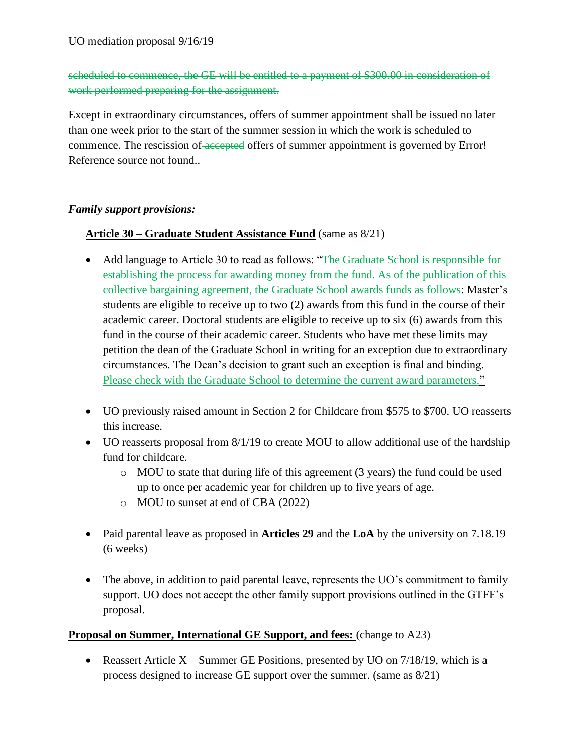# scheduled to commence, the GE will be entitled to a payment of \$300.00 in consideration of work performed preparing for the assignment.

Except in extraordinary circumstances, offers of summer appointment shall be issued no later than one week prior to the start of the summer session in which the work is scheduled to commence. The rescission of accepted offers of summer appointment is governed by Error! Reference source not found..

### *Family support provisions:*

### **Article 30 – Graduate Student Assistance Fund** (same as 8/21)

- Add language to Article 30 to read as follows: "The Graduate School is responsible for establishing the process for awarding money from the fund. As of the publication of this collective bargaining agreement, the Graduate School awards funds as follows: Master's students are eligible to receive up to two (2) awards from this fund in the course of their academic career. Doctoral students are eligible to receive up to six (6) awards from this fund in the course of their academic career. Students who have met these limits may petition the dean of the Graduate School in writing for an exception due to extraordinary circumstances. The Dean's decision to grant such an exception is final and binding. Please check with the Graduate School to determine the current award parameters."
- UO previously raised amount in Section 2 for Childcare from \$575 to \$700. UO reasserts this increase.
- UO reasserts proposal from 8/1/19 to create MOU to allow additional use of the hardship fund for childcare.
	- $\circ$  MOU to state that during life of this agreement (3 years) the fund could be used up to once per academic year for children up to five years of age.
	- o MOU to sunset at end of CBA (2022)
- Paid parental leave as proposed in **Articles 29** and the **LoA** by the university on 7.18.19 (6 weeks)
- The above, in addition to paid parental leave, represents the UO's commitment to family support. UO does not accept the other family support provisions outlined in the GTFF's proposal.

### **Proposal on Summer, International GE Support, and fees:** (change to A23)

• Reassert Article  $X -$ Summer GE Positions, presented by UO on  $7/18/19$ , which is a process designed to increase GE support over the summer. (same as 8/21)